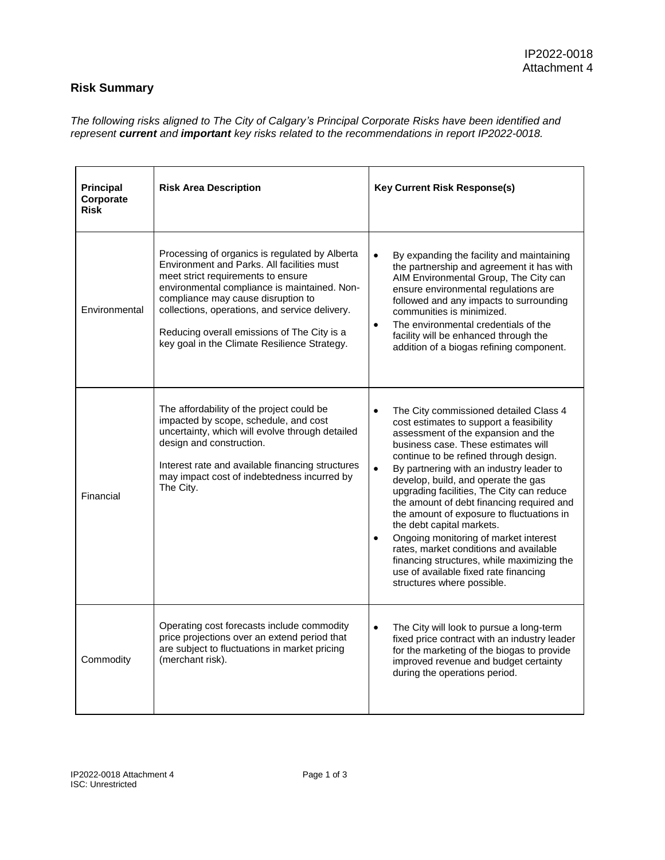## **Risk Summary**

*The following risks aligned to The City of Calgary's Principal Corporate Risks have been identified and represent current and important key risks related to the recommendations in report IP2022-0018.* 

| <b>Principal</b><br>Corporate<br><b>Risk</b> | <b>Risk Area Description</b>                                                                                                                                                                                                                                                                                                                                              | <b>Key Current Risk Response(s)</b>                                                                                                                                                                                                                                                                                                                                                                                                                                                                                                                                                                                                                                                                             |
|----------------------------------------------|---------------------------------------------------------------------------------------------------------------------------------------------------------------------------------------------------------------------------------------------------------------------------------------------------------------------------------------------------------------------------|-----------------------------------------------------------------------------------------------------------------------------------------------------------------------------------------------------------------------------------------------------------------------------------------------------------------------------------------------------------------------------------------------------------------------------------------------------------------------------------------------------------------------------------------------------------------------------------------------------------------------------------------------------------------------------------------------------------------|
| Environmental                                | Processing of organics is regulated by Alberta<br>Environment and Parks. All facilities must<br>meet strict requirements to ensure<br>environmental compliance is maintained. Non-<br>compliance may cause disruption to<br>collections, operations, and service delivery.<br>Reducing overall emissions of The City is a<br>key goal in the Climate Resilience Strategy. | By expanding the facility and maintaining<br>the partnership and agreement it has with<br>AIM Environmental Group, The City can<br>ensure environmental regulations are<br>followed and any impacts to surrounding<br>communities is minimized.<br>The environmental credentials of the<br>$\bullet$<br>facility will be enhanced through the<br>addition of a biogas refining component.                                                                                                                                                                                                                                                                                                                       |
| Financial                                    | The affordability of the project could be<br>impacted by scope, schedule, and cost<br>uncertainty, which will evolve through detailed<br>design and construction.<br>Interest rate and available financing structures<br>may impact cost of indebtedness incurred by<br>The City.                                                                                         | The City commissioned detailed Class 4<br>$\bullet$<br>cost estimates to support a feasibility<br>assessment of the expansion and the<br>business case. These estimates will<br>continue to be refined through design.<br>$\bullet$<br>By partnering with an industry leader to<br>develop, build, and operate the gas<br>upgrading facilities, The City can reduce<br>the amount of debt financing required and<br>the amount of exposure to fluctuations in<br>the debt capital markets.<br>Ongoing monitoring of market interest<br>$\bullet$<br>rates, market conditions and available<br>financing structures, while maximizing the<br>use of available fixed rate financing<br>structures where possible. |
| Commodity                                    | Operating cost forecasts include commodity<br>price projections over an extend period that<br>are subject to fluctuations in market pricing<br>(merchant risk).                                                                                                                                                                                                           | The City will look to pursue a long-term<br>$\bullet$<br>fixed price contract with an industry leader<br>for the marketing of the biogas to provide<br>improved revenue and budget certainty<br>during the operations period.                                                                                                                                                                                                                                                                                                                                                                                                                                                                                   |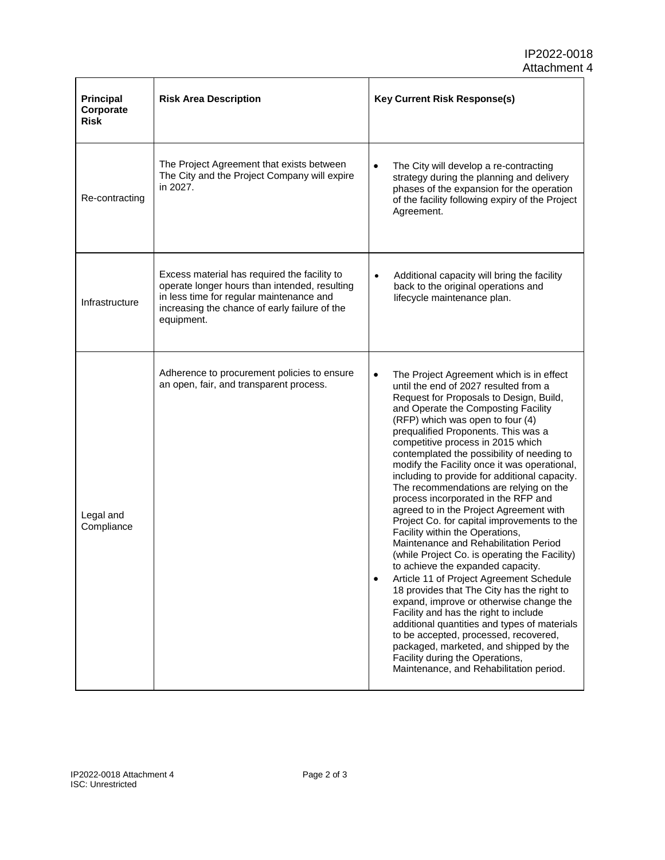| Principal<br>Corporate<br><b>Risk</b> | <b>Risk Area Description</b>                                                                                                                                                                             | <b>Key Current Risk Response(s)</b>                                                                                                                                                                                                                                                                                                                                                                                                                                                                                                                                                                                                                                                                                                                                                                                                                                                                                                                                                                                                                                                                                                                                                                      |
|---------------------------------------|----------------------------------------------------------------------------------------------------------------------------------------------------------------------------------------------------------|----------------------------------------------------------------------------------------------------------------------------------------------------------------------------------------------------------------------------------------------------------------------------------------------------------------------------------------------------------------------------------------------------------------------------------------------------------------------------------------------------------------------------------------------------------------------------------------------------------------------------------------------------------------------------------------------------------------------------------------------------------------------------------------------------------------------------------------------------------------------------------------------------------------------------------------------------------------------------------------------------------------------------------------------------------------------------------------------------------------------------------------------------------------------------------------------------------|
| Re-contracting                        | The Project Agreement that exists between<br>The City and the Project Company will expire<br>in 2027.                                                                                                    | $\bullet$<br>The City will develop a re-contracting<br>strategy during the planning and delivery<br>phases of the expansion for the operation<br>of the facility following expiry of the Project<br>Agreement.                                                                                                                                                                                                                                                                                                                                                                                                                                                                                                                                                                                                                                                                                                                                                                                                                                                                                                                                                                                           |
| Infrastructure                        | Excess material has required the facility to<br>operate longer hours than intended, resulting<br>in less time for regular maintenance and<br>increasing the chance of early failure of the<br>equipment. | Additional capacity will bring the facility<br>$\bullet$<br>back to the original operations and<br>lifecycle maintenance plan.                                                                                                                                                                                                                                                                                                                                                                                                                                                                                                                                                                                                                                                                                                                                                                                                                                                                                                                                                                                                                                                                           |
| Legal and<br>Compliance               | Adherence to procurement policies to ensure<br>an open, fair, and transparent process.                                                                                                                   | $\bullet$<br>The Project Agreement which is in effect<br>until the end of 2027 resulted from a<br>Request for Proposals to Design, Build,<br>and Operate the Composting Facility<br>(RFP) which was open to four (4)<br>prequalified Proponents. This was a<br>competitive process in 2015 which<br>contemplated the possibility of needing to<br>modify the Facility once it was operational,<br>including to provide for additional capacity.<br>The recommendations are relying on the<br>process incorporated in the RFP and<br>agreed to in the Project Agreement with<br>Project Co. for capital improvements to the<br>Facility within the Operations,<br>Maintenance and Rehabilitation Period<br>(while Project Co. is operating the Facility)<br>to achieve the expanded capacity.<br>Article 11 of Project Agreement Schedule<br>$\bullet$<br>18 provides that The City has the right to<br>expand, improve or otherwise change the<br>Facility and has the right to include<br>additional quantities and types of materials<br>to be accepted, processed, recovered,<br>packaged, marketed, and shipped by the<br>Facility during the Operations,<br>Maintenance, and Rehabilitation period. |